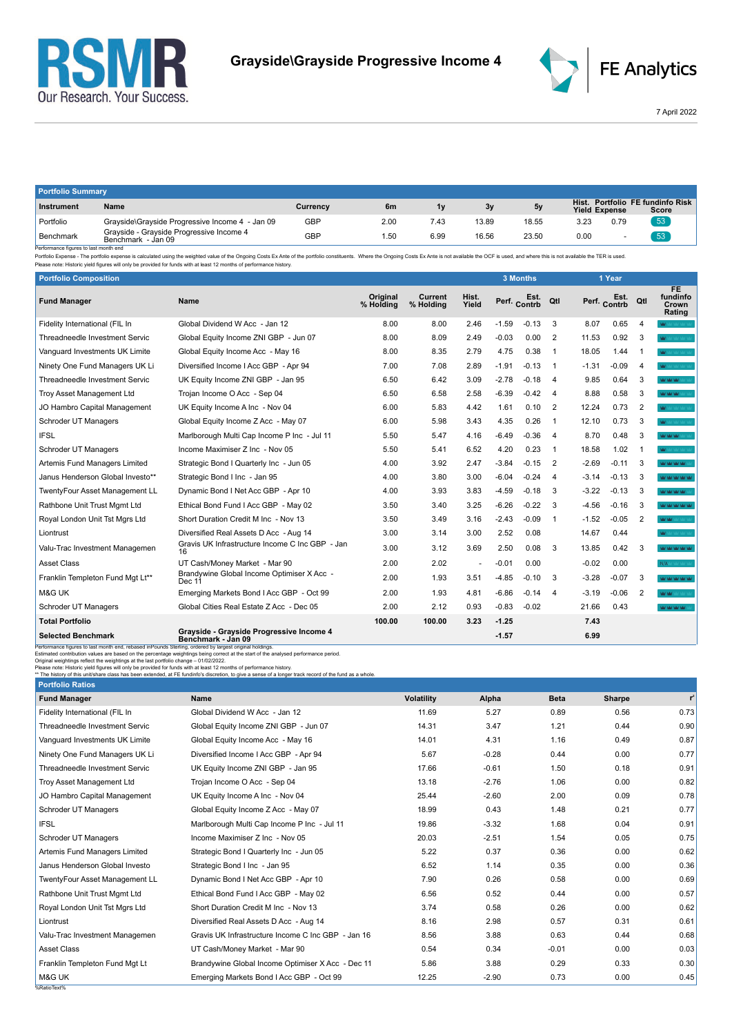



7 April 2022

| <b>Portfolio Summary</b> |                                                                |          |      |      |       |       |                      |      |                                           |
|--------------------------|----------------------------------------------------------------|----------|------|------|-------|-------|----------------------|------|-------------------------------------------|
| <b>Instrument</b>        | Name                                                           | Currency | 6m   | 1v   | 3y    | 5v    | <b>Yield Expense</b> |      | Hist. Portfolio FE fundinfo Risk<br>Score |
| Portfolio                | Grayside\Grayside Progressive Income 4 - Jan 09                | GBP      | 2.00 | 7.43 | 13.89 | 18.55 | 3.23                 | 0.79 | 53                                        |
| Benchmark                | Grayside - Grayside Progressive Income 4<br>Benchmark - Jan 09 | GBP      | l.50 | 6.99 | 16.56 | 23.50 | 0.00                 |      | 53                                        |

Benchmark Benchmark Benchmark - Jan 09<br>Performance figures is last month end<br>Performance figures is alst month end<br>Please note: Historic yield figures will only be provided for funds with at least 12 months of performance

| <b>Portfolio Composition</b>                                                                                                                                                                                                                                                                                            |                                                                                                                                                                                                                                                                                                 |                       |                      |                      |         | <b>3 Months</b> |                |         | 1 Year       |                         |                                          |
|-------------------------------------------------------------------------------------------------------------------------------------------------------------------------------------------------------------------------------------------------------------------------------------------------------------------------|-------------------------------------------------------------------------------------------------------------------------------------------------------------------------------------------------------------------------------------------------------------------------------------------------|-----------------------|----------------------|----------------------|---------|-----------------|----------------|---------|--------------|-------------------------|------------------------------------------|
| <b>Fund Manager</b>                                                                                                                                                                                                                                                                                                     | Name                                                                                                                                                                                                                                                                                            | Original<br>% Holding | Current<br>% Holding | Hist.<br>Yield       |         | Perf. Contrb    | Qtl            |         | Perf. Contrb | Qtl                     | <b>FE</b><br>fundinfo<br>Crown<br>Rating |
| Fidelity International (FIL In                                                                                                                                                                                                                                                                                          | Global Dividend W Acc - Jan 12                                                                                                                                                                                                                                                                  | 8.00                  | 8.00                 | 2.46                 | $-1.59$ | $-0.13$         | 3              | 8.07    | 0.65         | 4                       | <b>MAY</b> MAY VAY VAY VA                |
| Threadneedle Investment Servic                                                                                                                                                                                                                                                                                          | Global Equity Income ZNI GBP - Jun 07                                                                                                                                                                                                                                                           | 8.00                  | 8.09                 | 2.49                 | $-0.03$ | 0.00            | $\overline{2}$ | 11.53   | 0.92         | 3                       | <b>Mar has had have had</b>              |
| Vanguard Investments UK Limite                                                                                                                                                                                                                                                                                          | Global Equity Income Acc - May 16                                                                                                                                                                                                                                                               | 8.00                  | 8.35                 | 2.79                 | 4.75    | 0.38            | $\mathbf{1}$   | 18.05   | 1.44         | $\overline{\mathbf{1}}$ | Maritime has had not                     |
| Ninety One Fund Managers UK Li                                                                                                                                                                                                                                                                                          | Diversified Income I Acc GBP - Apr 94                                                                                                                                                                                                                                                           | 7.00                  | 7.08                 | 2.89                 | $-1.91$ | $-0.13$         | $\mathbf 1$    | $-1.31$ | $-0.09$      | $\overline{4}$          | <b>MY</b> MY VALUACION                   |
| Threadneedle Investment Servic                                                                                                                                                                                                                                                                                          | UK Equity Income ZNI GBP - Jan 95                                                                                                                                                                                                                                                               | 6.50                  | 6.42                 | 3.09                 | $-2.78$ | $-0.18$         | 4              | 9.85    | 0.64         | 3                       | <b>MOMOR MOTOR</b>                       |
| <b>Troy Asset Management Ltd</b>                                                                                                                                                                                                                                                                                        | Trojan Income O Acc - Sep 04                                                                                                                                                                                                                                                                    | 6.50                  | 6.58                 | 2.58                 | $-6.39$ | $-0.42$         | 4              | 8.88    | 0.58         | 3                       | <b>Main Main Main Street, Street</b>     |
| JO Hambro Capital Management                                                                                                                                                                                                                                                                                            | UK Equity Income A Inc - Nov 04                                                                                                                                                                                                                                                                 | 6.00                  | 5.83                 | 4.42                 | 1.61    | 0.10            | 2              | 12.24   | 0.73         | 2                       | <b>MY</b> MY VALVAGINA                   |
| Schroder UT Managers                                                                                                                                                                                                                                                                                                    | Global Equity Income Z Acc - May 07                                                                                                                                                                                                                                                             | 6.00                  | 5.98                 | 3.43                 | 4.35    | 0.26            | $\mathbf 1$    | 12.10   | 0.73         | 3                       | <b>MY</b> MY VALVALLY                    |
| <b>IFSL</b>                                                                                                                                                                                                                                                                                                             | Marlborough Multi Cap Income P Inc - Jul 11                                                                                                                                                                                                                                                     | 5.50                  | 5.47                 | 4.16                 | $-6.49$ | $-0.36$         | $\overline{4}$ | 8.70    | 0.48         | 3                       | <b>WAY MAY MAY</b>                       |
| Schroder UT Managers                                                                                                                                                                                                                                                                                                    | Income Maximiser Z Inc - Nov 05                                                                                                                                                                                                                                                                 | 5.50                  | 5.41                 | 6.52                 | 4.20    | 0.23            | -1             | 18.58   | 1.02         |                         | W.                                       |
| Artemis Fund Managers Limited                                                                                                                                                                                                                                                                                           | Strategic Bond I Quarterly Inc - Jun 05                                                                                                                                                                                                                                                         | 4.00                  | 3.92                 | 2.47                 | -3.84   | $-0.15$         | 2              | $-2.69$ | $-0.11$      | 3                       | <b>ALCOHOL AND ARREST</b>                |
| Janus Henderson Global Investo**                                                                                                                                                                                                                                                                                        | Strategic Bond I Inc - Jan 95                                                                                                                                                                                                                                                                   | 4.00                  | 3.80                 | 3.00                 | -6.04   | $-0.24$         | 4              | $-3.14$ | $-0.13$      | 3                       | <b>WAS MALLAND WAS TAKE</b>              |
| TwentyFour Asset Management LL                                                                                                                                                                                                                                                                                          | Dynamic Bond I Net Acc GBP - Apr 10                                                                                                                                                                                                                                                             | 4.00                  | 3.93                 | 3.83                 | $-4.59$ | $-0.18$         | 3              | $-3.22$ | $-0.13$      | 3                       | www.com                                  |
| Rathbone Unit Trust Mgmt Ltd                                                                                                                                                                                                                                                                                            | Ethical Bond Fund I Acc GBP - May 02                                                                                                                                                                                                                                                            | 3.50                  | 3.40                 | 3.25                 | $-6.26$ | $-0.22$         | 3              | $-4.56$ | $-0.16$      | 3                       | <b>WAS DRIVING THAT THAT</b>             |
| Royal London Unit Tst Mgrs Ltd                                                                                                                                                                                                                                                                                          | Short Duration Credit M Inc - Nov 13                                                                                                                                                                                                                                                            | 3.50                  | 3.49                 | 3.16                 | $-2.43$ | $-0.09$         | -1             | $-1.52$ | $-0.05$      | $\overline{2}$          | WW.                                      |
| Liontrust                                                                                                                                                                                                                                                                                                               | Diversified Real Assets D Acc - Aug 14                                                                                                                                                                                                                                                          | 3.00                  | 3.14                 | 3.00                 | 2.52    | 0.08            |                | 14.67   | 0.44         |                         | <b>W</b> MOM AT YALOW                    |
| Valu-Trac Investment Managemen                                                                                                                                                                                                                                                                                          | Gravis UK Infrastructure Income C Inc GBP - Jan<br>16                                                                                                                                                                                                                                           | 3.00                  | 3.12                 | 3.69                 | 2.50    | 0.08            | 3              | 13.85   | 0.42         | 3                       | <b>Not had had had .</b>                 |
| <b>Asset Class</b>                                                                                                                                                                                                                                                                                                      | UT Cash/Money Market - Mar 90                                                                                                                                                                                                                                                                   | 2.00                  | 2.02                 | $\ddot{\phantom{1}}$ | $-0.01$ | 0.00            |                | $-0.02$ | 0.00         |                         | N/A MAY YARDY                            |
| Franklin Templeton Fund Mgt Lt**                                                                                                                                                                                                                                                                                        | Brandywine Global Income Optimiser X Acc -<br>Dec 11                                                                                                                                                                                                                                            | 2.00                  | 1.93                 | 3.51                 | -4.85   | $-0.10$         | 3              | $-3.28$ | $-0.07$      | 3                       | <b>MOVE WORK</b>                         |
| M&G UK                                                                                                                                                                                                                                                                                                                  | Emerging Markets Bond I Acc GBP - Oct 99                                                                                                                                                                                                                                                        | 2.00                  | 1.93                 | 4.81                 | $-6.86$ | $-0.14$         | 4              | $-3.19$ | $-0.06$      | $\overline{2}$          | <b>WAY</b>                               |
| Schroder UT Managers                                                                                                                                                                                                                                                                                                    | Global Cities Real Estate Z Acc - Dec 05                                                                                                                                                                                                                                                        | 2.00                  | 2.12                 | 0.93                 | $-0.83$ | $-0.02$         |                | 21.66   | 0.43         |                         | <b>WAS DRAFTED</b>                       |
| <b>Total Portfolio</b>                                                                                                                                                                                                                                                                                                  |                                                                                                                                                                                                                                                                                                 | 100.00                | 100.00               | 3.23                 | $-1.25$ |                 |                | 7.43    |              |                         |                                          |
| <b>Selected Benchmark</b>                                                                                                                                                                                                                                                                                               | Grayside - Grayside Progressive Income 4<br>Benchmark - Jan 09                                                                                                                                                                                                                                  |                       |                      |                      | $-1.57$ |                 |                | 6.99    |              |                         |                                          |
| Performance figures to last month end, rebased inPounds Sterling, ordered by largest original holdings.<br>Original weightings reflect the weightings at the last portfolio change - 01/02/2022.<br>Please note: Historic yield figures will only be provided for funds with at least 12 months of performance history. | Estimated contribution values are based on the percentage weightings being correct at the start of the analysed performance period.<br>** The history of this unit/share class has been extended, at FE fundinfo's discretion, to give a sense of a longer track record of the fund as a whole. |                       |                      |                      |         |                 |                |         |              |                         |                                          |
| <b>Portfolio Ratios</b>                                                                                                                                                                                                                                                                                                 |                                                                                                                                                                                                                                                                                                 |                       |                      |                      |         |                 |                |         |              |                         |                                          |

| <b>Portfolio Ratios</b>          |                                                    |            |         |             |        |       |
|----------------------------------|----------------------------------------------------|------------|---------|-------------|--------|-------|
| <b>Fund Manager</b>              | Name                                               | Volatility | Alpha   | <b>Beta</b> | Sharpe | $r^2$ |
| Fidelity International (FIL In   | Global Dividend W Acc - Jan 12                     | 11.69      | 5.27    | 0.89        | 0.56   | 0.73  |
| Threadneedle Investment Servic   | Global Equity Income ZNI GBP - Jun 07              | 14.31      | 3.47    | 1.21        | 0.44   | 0.90  |
| Vanguard Investments UK Limite   | Global Equity Income Acc - May 16                  | 14.01      | 4.31    | 1.16        | 0.49   | 0.87  |
| Ninety One Fund Managers UK Li   | Diversified Income I Acc GBP - Apr 94              | 5.67       | $-0.28$ | 0.44        | 0.00   | 0.77  |
| Threadneedle Investment Servic   | UK Equity Income ZNI GBP - Jan 95                  | 17.66      | $-0.61$ | 1.50        | 0.18   | 0.91  |
| <b>Troy Asset Management Ltd</b> | Trojan Income O Acc - Sep 04                       | 13.18      | $-2.76$ | 1.06        | 0.00   | 0.82  |
| JO Hambro Capital Management     | UK Equity Income A Inc - Nov 04                    | 25.44      | $-2.60$ | 2.00        | 0.09   | 0.78  |
| Schroder UT Managers             | Global Equity Income Z Acc - May 07                | 18.99      | 0.43    | 1.48        | 0.21   | 0.77  |
| <b>IFSL</b>                      | Marlborough Multi Cap Income P Inc - Jul 11        | 19.86      | $-3.32$ | 1.68        | 0.04   | 0.91  |
| Schroder UT Managers             | Income Maximiser Z Inc - Nov 05                    | 20.03      | $-2.51$ | 1.54        | 0.05   | 0.75  |
| Artemis Fund Managers Limited    | Strategic Bond I Quarterly Inc - Jun 05            | 5.22       | 0.37    | 0.36        | 0.00   | 0.62  |
| Janus Henderson Global Investo   | Strategic Bond I Inc - Jan 95                      | 6.52       | 1.14    | 0.35        | 0.00   | 0.36  |
| TwentyFour Asset Management LL   | Dynamic Bond I Net Acc GBP - Apr 10                | 7.90       | 0.26    | 0.58        | 0.00   | 0.69  |
| Rathbone Unit Trust Mgmt Ltd     | Ethical Bond Fund I Acc GBP - May 02               | 6.56       | 0.52    | 0.44        | 0.00   | 0.57  |
| Royal London Unit Tst Mgrs Ltd   | Short Duration Credit M Inc - Nov 13               | 3.74       | 0.58    | 0.26        | 0.00   | 0.62  |
| Liontrust                        | Diversified Real Assets D Acc - Aug 14             | 8.16       | 2.98    | 0.57        | 0.31   | 0.61  |
| Valu-Trac Investment Managemen   | Gravis UK Infrastructure Income C Inc GBP - Jan 16 | 8.56       | 3.88    | 0.63        | 0.44   | 0.68  |
| <b>Asset Class</b>               | UT Cash/Money Market - Mar 90                      | 0.54       | 0.34    | $-0.01$     | 0.00   | 0.03  |
| Franklin Templeton Fund Mgt Lt   | Brandywine Global Income Optimiser X Acc - Dec 11  | 5.86       | 3.88    | 0.29        | 0.33   | 0.30  |
| M&G UK                           | Emerging Markets Bond I Acc GBP - Oct 99           | 12.25      | $-2.90$ | 0.73        | 0.00   | 0.45  |
| %RatioText%                      |                                                    |            |         |             |        |       |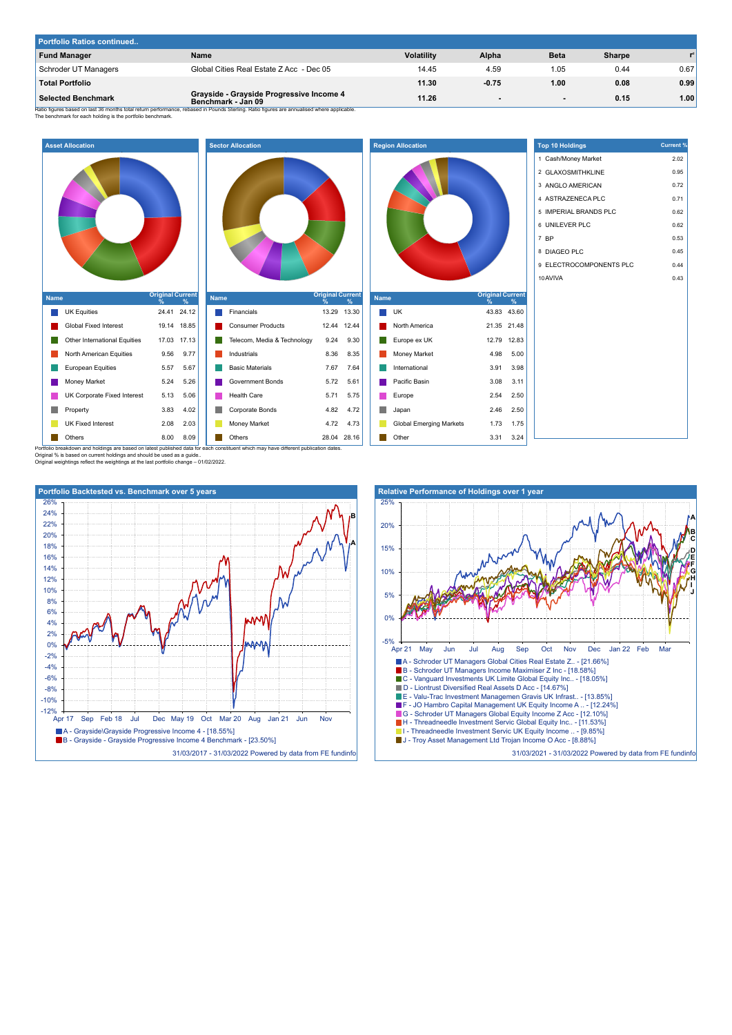| Portfolio Ratios continued |                                                                |                   |         |      |               |      |  |
|----------------------------|----------------------------------------------------------------|-------------------|---------|------|---------------|------|--|
| <b>Fund Manager</b>        | Name                                                           | <b>Volatility</b> | Alpha   | Beta | <b>Sharpe</b> |      |  |
| Schroder UT Managers       | Global Cities Real Estate Z Acc - Dec 05                       | 14.45             | 4.59    | 1.05 | 0.44          | 0.67 |  |
| <b>Total Portfolio</b>     |                                                                | 11.30             | $-0.75$ | 1.00 | 0.08          | 0.99 |  |
| <b>Selected Benchmark</b>  | Grayside - Grayside Progressive Income 4<br>Benchmark - Jan 09 | 11.26             | $\sim$  |      | 0.15          | 1.00 |  |

**B**

**A**

Ratio figures based on last 36 months total return performance, rebased in Pounds Sterling. Ratio figures are annualised where applicable.<br>The benchmark for each holding is the portfolio benchmark.



| <b>Name</b>                      | <b>Original Current</b><br>% | $\%$        |  |  |  |  |
|----------------------------------|------------------------------|-------------|--|--|--|--|
| Financials                       |                              | 13.29 13.30 |  |  |  |  |
| <b>Consumer Products</b>         |                              | 12.44 12.44 |  |  |  |  |
| Telecom, Media & Technology 9.24 |                              | 9.30        |  |  |  |  |
| Industrials                      | 8.36                         | 8.35        |  |  |  |  |
| <b>Basic Materials</b>           | 7.67                         | 7.64        |  |  |  |  |
| <b>Government Bonds</b>          | 5.72                         | 5.61        |  |  |  |  |
| <b>Health Care</b>               | 5.71                         | 5.75        |  |  |  |  |
| Corporate Bonds                  | 4.82                         | 4.72        |  |  |  |  |
| Money Market                     | 4.72                         | 4.73        |  |  |  |  |

| <b>Region Allocation</b> |                                |                              |       |  |  |  |  |
|--------------------------|--------------------------------|------------------------------|-------|--|--|--|--|
| <b>Name</b>              |                                | <b>Original Current</b><br>% | %     |  |  |  |  |
|                          | UK                             | 43.83 43.60                  |       |  |  |  |  |
|                          | North America                  | 21.35                        | 21.48 |  |  |  |  |
|                          | Europe ex UK                   | 12.79                        | 12.83 |  |  |  |  |
|                          | Money Market                   | 4.98                         | 5.00  |  |  |  |  |
|                          | International                  | 3.91                         | 3.98  |  |  |  |  |
|                          |                                |                              |       |  |  |  |  |
|                          | Pacific Basin                  | 3.08                         | 3.11  |  |  |  |  |
|                          | Europe                         | 2.54                         | 2.50  |  |  |  |  |
|                          | Japan                          | 2.46                         | 2.50  |  |  |  |  |
|                          | <b>Global Emerging Markets</b> | 1.73                         | 1.75  |  |  |  |  |

|    | <b>Top 10 Holdings</b>  | <b>Current %</b> |
|----|-------------------------|------------------|
|    | 1 Cash/Money Market     | 2.02             |
|    | 2 GLAXOSMITHKLINE       | 0.95             |
|    | 3 ANGLO AMERICAN        | 0.72             |
|    | 4 ASTRAZENECA PLC       | 0.71             |
|    | 5 IMPERIAL BRANDS PLC   | 0.62             |
|    | 6 UNILEVER PLC          | 0.62             |
|    | 7 BP                    | 0.53             |
|    | 8 DIAGEO PLC            | 0.45             |
|    | 9 ELECTROCOMPONENTS PLC | 0.44             |
|    | 10 AVIVA                | 0.43             |
| ıt |                         |                  |
|    |                         |                  |
| j  |                         |                  |
| ś  |                         |                  |
| š  |                         |                  |
| ١  |                         |                  |
| š  |                         |                  |
|    |                         |                  |



31/03/2017 - 31/03/2022 Powered by data from FE fundinfo